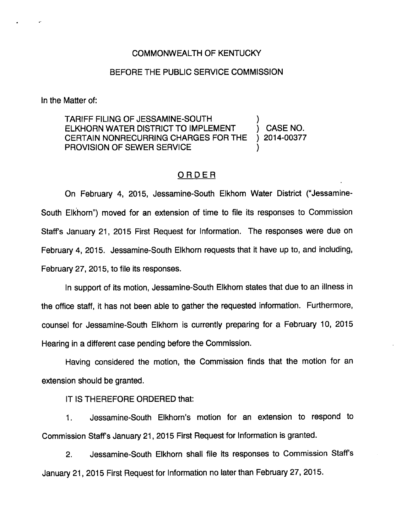## COMMONWEALTH OF KENTUCKY

## BEFORE THE PUBLIC SERVICE COMMISSION

In the Matter of:

TARIFF FILING OF JESSAMINE-SOUTH ) ELKHORN WATER DISTRICT TO IMPLEMENT (CASE NO. CERTAIN NONRECURRING CHARGES FOR THE ) 2014-00377 PROVISION OF SEWER SERVICE

## ORDER

On February 4, 2015, Jessamine-South Elkhom Water District ("Jessamine-South Elkhom") moved for an extension of time to file its responses to Commission Staffs January 21, 2015 First Request for Information. The responses were due on February 4, 2015. Jessamine-South Elkhom requests that it have up to, and including, February 27, 2015, to file its responses.

In support of its motion, Jessamine-South Elkhom states that due to an illness in the office staff, it has not been able to gather the requested information. Furthermore, counsel for Jessamine-South Eikhorn is currently preparing for a February 10, 2015 Hearing in a different case pending before the Commission.

Having considered the motion, the Commission finds that the motion for an extension should be granted.

IT IS THEREFORE ORDERED that:

1. Jessamine-South Elkhom's motion for an extension to respond to Commission Staff's January 21, 2015 First Request for Information is granted.

2. Jessamine-South Elkhom shall file its responses to Commission Staffs January 21, 2015 First Request for Information no laterthan February27, 2015.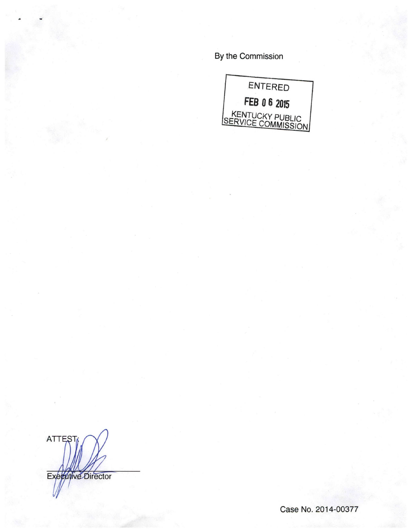By the Commission



**ATTEST** Executive Director

Case No. 2014-00377